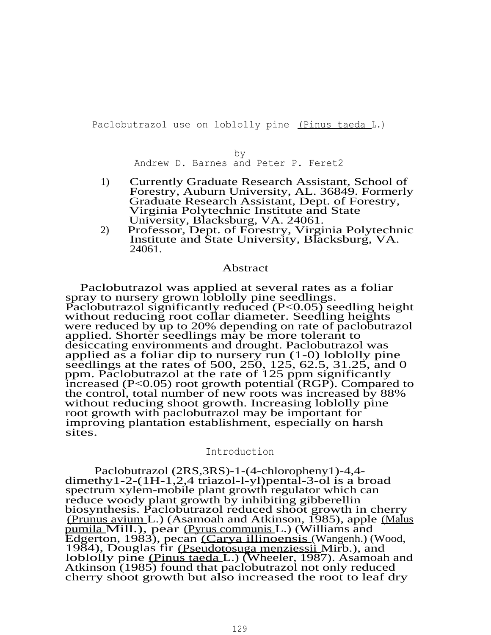Paclobutrazol use on loblolly pine (Pinus taeda L.)

by

Andrew D. Barnes and Peter P. Feret2

- 1) Currently Graduate Research Assistant, School of Forestry, Auburn University, AL. 36849. Formerly Graduate Research Assistant, Dept. of Forestry, Virginia Polytechnic Institute and State University, Blacksburg, VA. 24061.
- 2) Professor, Dept. of Forestry, Virginia Polytechnic Institute and State University, Blacksburg, VA. 24061.

# Abstract

Paclobutrazol was applied at several rates as a foliar spray to nursery grown loblolly pine seedlings. Paclobutrazol significantly reduced (P<0.05) seedling height without reducing root collar diameter. Seedling heights were reduced by up to 20% depending on rate of paclobutrazol applied. Shorter seedlings may be more tolerant to desiccating environments and drought. Paclobutrazol was applied as a foliar dip to nursery run (1-0) loblolly pine seedlings at the rates of 500, 250, 125, 62.5, 31.25, and 0 ppm. Paclobutrazol at the rate of 125 ppm significantly increased (P<0.05) root growth potential (RGP). Compared to the control, total number of new roots was increased by 88% without reducing shoot growth. Increasing loblolly pine root growth with paclobutrazol may be important for improving plantation establishment, especially on harsh sites.

#### Introduction

Paclobutrazol (2RS,3RS)-1-(4-chloropheny1)-4,4 dimethy1-2-(1H-1,2,4 triazol-l-yl)pental-3-ol is a broad spectrum xylem-mobile plant growth regulator which can reduce woody plant growth by inhibiting gibberellin biosynthesis. Paclobutrazol reduced shoot growth in cherry (Prunus avium L.) (Asamoah and Atkinson, 1985), apple (Malus pumila Mill.), pear (Pyrus communis L.) (Williams and Edgerton, 1983), pecan (Carya illinoensis (Wangenh.) (Wood, 1984), Douglas fir (Pseudotosuga menziessii Mirb.), and loblolly pine (Pinus taeda L.) (Wheeler, 1987). Asamoah and Atkinson (1985) found that paclobutrazol not only reduced cherry shoot growth but also increased the root to leaf dry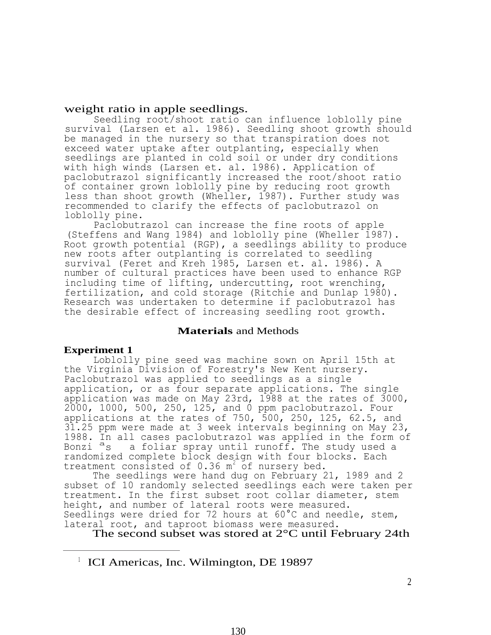# weight ratio in apple seedlings.

Seedling root/shoot ratio can influence loblolly pine survival (Larsen et al. 1986). Seedling shoot growth should be managed in the nursery so that transpiration does not exceed water uptake after outplanting, especially when seedlings are planted in cold soil or under dry conditions with high winds (Larsen et. al. 1986). Application of paclobutrazol significantly increased the root/shoot ratio of container grown loblolly pine by reducing root growth less than shoot growth (Wheller, 1987). Further study was recommended to clarify the effects of paclobutrazol on loblolly pine.

Paclobutrazol can increase the fine roots of apple (Steffens and Wang 1984) and loblolly pine (Wheller 1987). Root growth potential (RGP), a seedlings ability to produce new roots after outplanting is correlated to seedling survival (Feret and Kreh 1985, Larsen et. al. 1986). A number of cultural practices have been used to enhance RGP including time of lifting, undercutting, root wrenching, fertilization, and cold storage (Ritchie and Dunlap 1980). Research was undertaken to determine if paclobutrazol has the desirable effect of increasing seedling root growth.

# **Materials** and Methods

# **Experiment 1**

Loblolly pine seed was machine sown on April 15th at the Virginia Division of Forestry's New Kent nursery. Paclobutrazol was applied to seedlings as a single application, or as four separate applications. The single application was made on May 23rd, 1988 at the rates of 3000, 2000, 1000, 500, 250, 125, and 0 ppm paclobutrazol. Four applications at the rates of 750, 500, 250, 125, 62.5, and 31.25 ppm were made at 3 week intervals beginning on May 23, 1988. In all cases paclobutrazol was applied in the form of Bonzi <sup>a</sup>s a foliar spray until runoff. The study used a randomized complete block design with four blocks. Each treatment consisted of  $0.36$  m<sup>2</sup> of nursery bed.

The seedlings were hand dug on February 21, 1989 and 2 subset of 10 randomly selected seedlings each were taken per treatment. In the first subset root collar diameter, stem height, and number of lateral roots were measured. Seedlings were dried for 72 hours at 60°C and needle, stem, lateral root, and taproot biomass were measured.

The second subset was stored at 2°C until February 24th

<sup>&</sup>lt;sup>1</sup> ICI Americas, Inc. Wilmington, DE 19897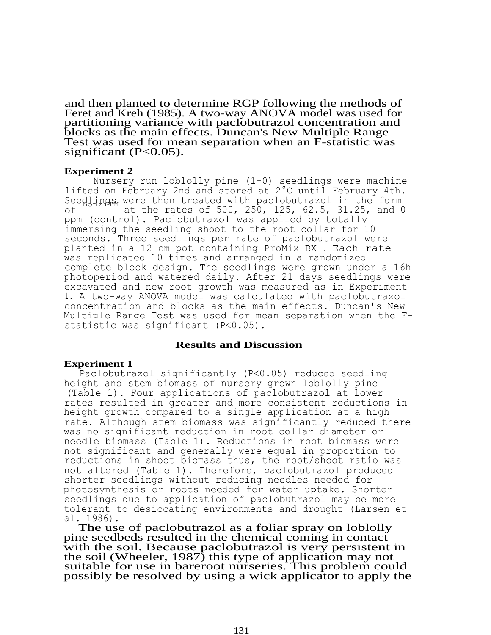and then planted to determine RGP following the methods of Feret and Kreh (1985). A two-way ANOVA model was used for partitioning variance with paclobutrazol concentration and blocks as the main effects. Duncan's New Multiple Range Test was used for mean separation when an F-statistic was significant  $(P<0.05)$ .

#### **Experiment 2**

Nursery run loblolly pine (1-0) seedlings were machine lifted on February 2nd and stored at 2°C until February 4th. Seedlings were then treated with paclobutrazol in the form of at the rates of 500, 250, 125, 62.5, 31.25, and 0 ppm (control). Paclobutrazol was applied by totally immersing the seedling shoot to the root collar for 10 seconds. Three seedlings per rate of paclobutrazol were planted in a 12 cm pot containing ProMix BX . Each rate was replicated 10 times and arranged in a randomized complete block design. The seedlings were grown under a 16h photoperiod and watered daily. After 21 days seedlings were excavated and new root growth was measured as in Experiment 1. A two-way ANOVA model was calculated with paclobutrazol concentration and blocks as the main effects. Duncan's New Multiple Range Test was used for mean separation when the Fstatistic was significant (P<0.05).

# **Results and Discussion**

# **Experiment 1**

Paclobutrazol significantly (P<0.05) reduced seedling height and stem biomass of nursery grown loblolly pine (Table 1). Four applications of paclobutrazol at lower rates resulted in greater and more consistent reductions in height growth compared to a single application at a high rate. Although stem biomass was significantly reduced there was no significant reduction in root collar diameter or needle biomass (Table 1). Reductions in root biomass were not significant and generally were equal in proportion to reductions in shoot biomass thus, the root/shoot ratio was not altered (Table 1). Therefore, paclobutrazol produced shorter seedlings without reducing needles needed for photosynthesis or roots needed for water uptake. Shorter seedlings due to application of paclobutrazol may be more tolerant to desiccating environments and drought (Larsen et al. 1986).

The use of paclobutrazol as a foliar spray on loblolly pine seedbeds resulted in the chemical coming in contact with the soil. Because paclobutrazol is very persistent in the soil (Wheeler, 1987) this type of application may not suitable for use in bareroot nurseries. This problem could possibly be resolved by using a wick applicator to apply the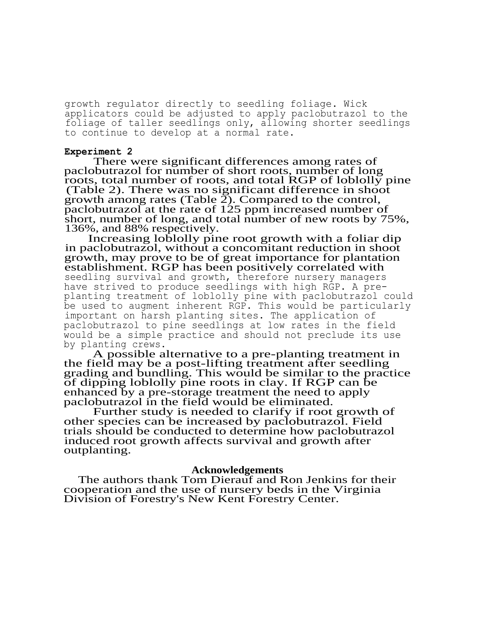growth regulator directly to seedling foliage. Wick applicators could be adjusted to apply paclobutrazol to the foliage of taller seedlings only, allowing shorter seedlings to continue to develop at a normal rate.

#### **Experiment 2**

There were significant differences among rates of paclobutrazol for number of short roots, number of long roots, total number of roots, and total RGP of loblolly pine (Table 2). There was no significant difference in shoot growth among rates (Table 2). Compared to the control, paclobutrazol at the rate of 125 ppm increased number of short, number of long, and total number of new roots by 75%, 136%, and 88% respectively.

Increasing loblolly pine root growth with a foliar dip in paclobutrazol, without a concomitant reduction in shoot growth, may prove to be of great importance for plantation establishment. RGP has been positively correlated with seedling survival and growth, therefore nursery managers have strived to produce seedlings with high RGP. A preplanting treatment of loblolly pine with paclobutrazol could be used to augment inherent RGP. This would be particularly important on harsh planting sites. The application of paclobutrazol to pine seedlings at low rates in the field would be a simple practice and should not preclude its use by planting crews.

A possible alternative to a pre-planting treatment in the field may be a post-lifting treatment after seedling grading and bundling. This would be similar to the practice of dipping loblolly pine roots in clay. If RGP can be enhanced by a pre-storage treatment the need to apply paclobutrazol in the field would be eliminated.

Further study is needed to clarify if root growth of other species can be increased by paclobutrazol. Field trials should be conducted to determine how paclobutrazol induced root growth affects survival and growth after outplanting.

#### **Acknowledgements**

The authors thank Tom Dierauf and Ron Jenkins for their cooperation and the use of nursery beds in the Virginia Division of Forestry's New Kent Forestry Center.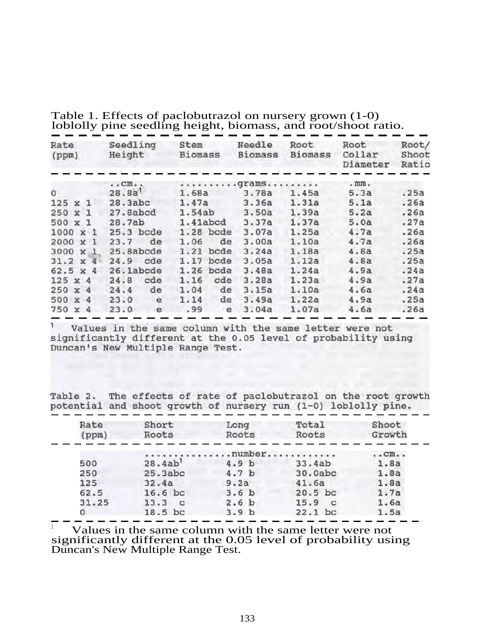| Rate<br>(ppm)   | Seedling<br>Height     | Stem<br><b>Biomass</b> | Needle<br><b>Biomass</b> | Root<br><b>Biomass</b> | Root<br>Collar<br>Diameter | Root/<br>Shoot<br>Ratio |
|-----------------|------------------------|------------------------|--------------------------|------------------------|----------------------------|-------------------------|
|                 | $\cdot$ . Cm $\cdot$ . |                        | grams                    |                        | $.$ mm.                    |                         |
| 0               | 28.8a                  | 1.68a                  | 3.78a                    | 1.45a                  | 5.3a                       | .25a                    |
| $125 \times 1$  | 28.3abc                | 1.47a                  | 3.36a                    | 1.31a                  | 5.1a                       | .26a                    |
| 250 x 1         | 27.8abcd               | 1.54ab                 | 3.50a                    | 1.39a                  | 5.2a                       | .26a                    |
| 500 x 1         | 28.7ab                 | 1.41abcd               | 3.37a                    | 1.37a                  | 5.0a                       | .27a                    |
| $1000 \times 1$ | 25.3 bcde              | 1.28 bcde              | 3.07a                    | 1.25a                  | 4.7a                       | .26a                    |
| 2000 x 1        | de<br>23.7             | de<br>1.06             | 3.00a                    | 1.10a                  | 4.7a                       | .26a                    |
| 3000 X 1        | 25.8abcde              | $1.21$ bcde            | 3.24a                    | 1.18a                  | 4.8a                       | .25a                    |
| $31.2 \times 4$ | cde<br>24.9            | 1.17 bcde              | 3.05a                    | 1.12a                  | 4.8a                       | .25a                    |
| $62.5 \times 4$ | 26.1abcde              | $1.26$ bcde            | 3.48a                    | 1.24a                  | 4.9a                       | .24a                    |
| $125 \times 4$  | cde<br>24.8            | cde<br>1.16            | 3.28a                    | 1.23a                  | 4.9a                       | .27a                    |
| 250 x 4         | de<br>24.4             | de<br>1.04             | 3.15a                    | 1.10a                  | 4.6a                       | .24a                    |
| 500 x 4         | e<br>23.0              | 1.14<br>de             | 3.49a                    | 1.22a                  | 4.9a                       | .25a                    |
| 750 x 4         | 23.0<br>e              | .99<br>e               | 3.04a                    | 1.07a                  | 4.6a                       | .26a                    |

Table 1. Effects of paclobutrazol on nursery grown (1-0) loblolly pine seedling height, biomass, and root/shoot ratio.

Values in the same column with the same letter were not significantly different at the 0.05 level of probability using<br>Duncan's New Multiple Range Test.

Table 2. The effects of rate of paclobutrazol on the root growth potential and shoot growth of nursery run (1-0) loblolly pine.

| Rate  | Short                | Long             | Total     | Shoot  |
|-------|----------------------|------------------|-----------|--------|
| (ppm) | Roots                | Roots            | Roots     | Growth |
|       |                      |                  |           |        |
|       | mumber               | $\ldots$ Cm      |           |        |
| 500   | 28.4ab <sup>1</sup>  | 4.9 <sub>b</sub> | 33.4ab    | 1.8a   |
| 250   | 25.3abc              | 4.7 <sub>b</sub> | 30.0abc   | 1.8a   |
| 125   | 32.4a                | 9.2a             | 41.6a     | 1.8a   |
| 62.5  | $16.6$ bc            | 3.6 <sub>b</sub> | $20.5$ bc | 1.7a   |
| 31.25 | 13.3<br>$\mathbf{C}$ | 2.6 <sub>b</sub> | 15.9<br>c | 1.6a   |
| 0     | $18.5$ bc            | 3.9 <sub>b</sub> | $22.1$ bc | 1.5a   |

Values in the same column with the same letter were not significantly different at the 0.05 level of probability using Duncan's New Multiple Range Test.